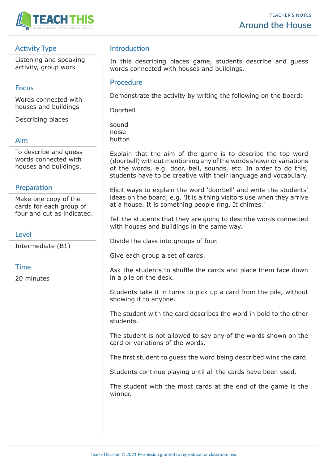

# **Activity Type**

Listening and speaking activity, group work

### **Focus**

Words connected with houses and buildings

Describing places

### **Aim**

To describe and guess words connected with houses and buildings.

### **Preparation**

Make one copy of the cards for each group of four and cut as indicated.

#### **Level**

Intermediate (B1)

### **Time**

20 minutes

## **Introduction**

In this describing places game, students describe and guess words connected with houses and buildings.

#### **Procedure**

Demonstrate the activity by writing the following on the board:

Doorbell

sound noise button

Explain that the aim of the game is to describe the top word (doorbell) without mentioning any of the words shown or variations of the words, e.g. door, bell, sounds, etc. In order to do this, students have to be creative with their language and vocabulary.

Elicit ways to explain the word 'doorbell' and write the students' ideas on the board, e.g. 'It is a thing visitors use when they arrive at a house. It is something people ring. It chimes.'

Tell the students that they are going to describe words connected with houses and buildings in the same way.

Divide the class into groups of four.

Give each group a set of cards.

Ask the students to shuffle the cards and place them face down in a pile on the desk.

Students take it in turns to pick up a card from the pile, without showing it to anyone.

The student with the card describes the word in bold to the other students.

The student is not allowed to say any of the words shown on the card or variations of the words.

The first student to guess the word being described wins the card.

Students continue playing until all the cards have been used.

The student with the most cards at the end of the game is the winner.